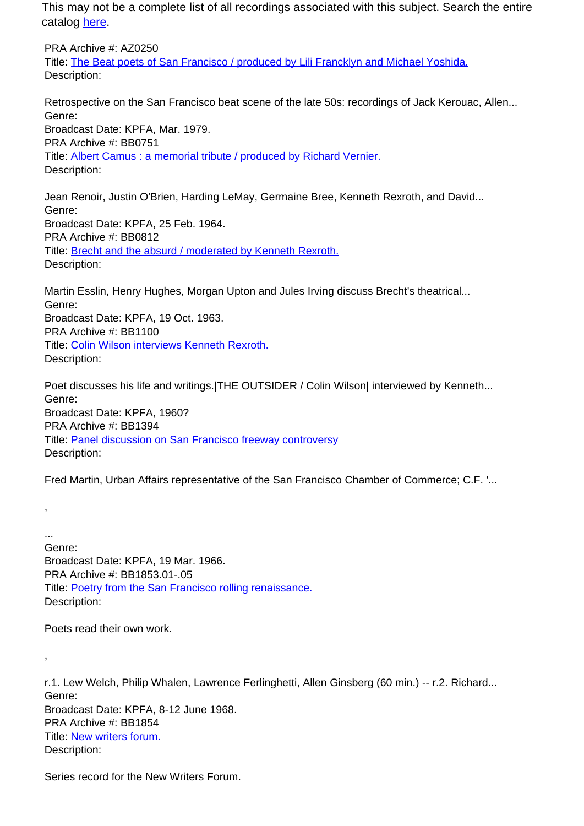This may not be a complete list of all recordings associated with this subject. Search the entire catalog [here.](http://pacificaradioarchives.org/keyword-search)

PRA Archive #: AZ0250 Title: The Beat poets of San Francisco / produced by Lili Francklyn and Michael Yoshida. Description:

Retrospective on the San Francisco beat scene of the late 50s: recordings of Jack Kerouac, Allen... Genre: Broadcast Date: KPFA, Mar. 1979. PRA Archive #: BB0751 Title: Albert Camus : a memorial tribute / produced by Richard Vernier. Description:

Jean Renoir, Justin O'Brien, Harding LeMay, Germaine Bree, Kenneth Rexroth, and David... Genre: Broadcast Date: KPFA, 25 Feb. 1964. PRA Archive #: BB0812 Title: **Brecht and the absurd / moderated by Kenneth Rexroth.** Description:

Martin Esslin, Henry Hughes, Morgan Upton and Jules Irving discuss Brecht's theatrical... Genre: Broadcast Date: KPFA, 19 Oct. 1963. PRA Archive #: BB1100 Title: Colin Wilson interviews Kenneth Rexroth. Description:

Poet discusses his life and writings.|THE OUTSIDER / Colin Wilson| interviewed by Kenneth... Genre: Broadcast Date: KPFA, 1960? PRA Archive #: BB1394 Title: Panel discussion on San Francisco freeway controversy Description:

Fred Martin, Urban Affairs representative of the San Francisco Chamber of Commerce; C.F. '...

... Genre: Broadcast Date: KPFA, 19 Mar. 1966. PRA Archive #: BB1853.01-.05 Title: Poetry from the San Francisco rolling renaissance. Description:

Poets read their own work.

,

,

r.1. Lew Welch, Philip Whalen, Lawrence Ferlinghetti, Allen Ginsberg (60 min.) -- r.2. Richard... Genre: Broadcast Date: KPFA, 8-12 June 1968. PRA Archive #: BB1854 Title: New writers forum. Description:

Series record for the New Writers Forum.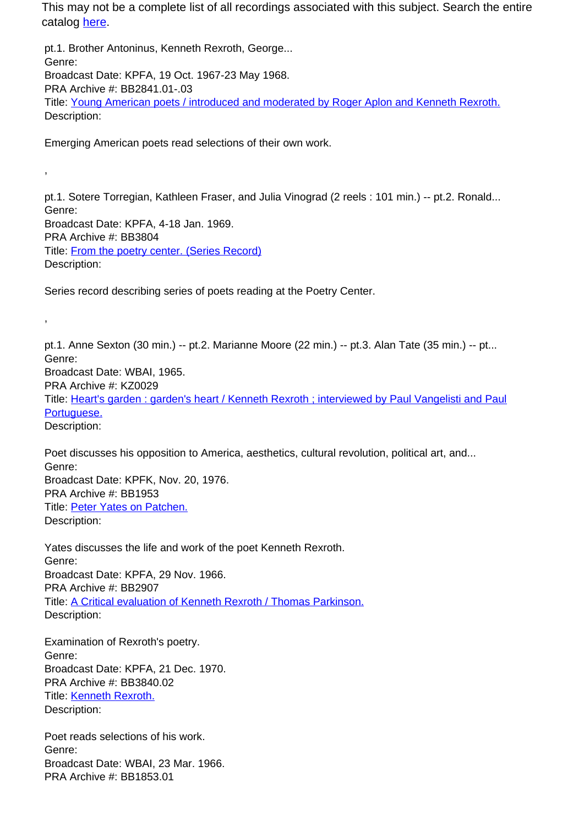This may not be a complete list of all recordings associated with this subject. Search the entire catalog here.

pt.1. Brother Antoninus, Kenneth Rexroth, George... Genre: Broadcast Date: KPFA, 19 Oct. 1967-23 May 1968. PRA Archive #: BB2841.01-.03 Title: Young American poets / introduced and moderated by Roger Aplon and Kenneth Rexroth. Description:

Emerging American poets read selections of their own work.

,

,

pt.1. Sotere Torregian, Kathleen Fraser, and Julia Vinograd (2 reels : 101 min.) -- pt.2. Ronald... Genre: Broadcast Date: KPFA, 4-18 Jan. 1969. PRA Archive #: BB3804 Title: From the poetry center. (Series Record) Description:

Series record describing series of poets reading at the Poetry Center.

pt.1. Anne Sexton (30 min.) -- pt.2. Marianne Moore (22 min.) -- pt.3. Alan Tate (35 min.) -- pt... Genre: Broadcast Date: WBAI, 1965. PRA Archive #: KZ0029 Title: Heart's garden : garden's heart / Kenneth Rexroth ; interviewed by Paul Vangelisti and Paul Portuguese. Description:

Poet discusses his opposition to America, aesthetics, cultural revolution, political art, and... Genre: Broadcast Date: KPFK, Nov. 20, 1976. PRA Archive #: BB1953 Title: Peter Yates on Patchen. Description:

Yates discusses the life and work of the poet Kenneth Rexroth. Genre: Broadcast Date: KPFA, 29 Nov. 1966. PRA Archive #: BB2907 Title: A Critical evaluation of Kenneth Rexroth / Thomas Parkinson. Description:

Examination of Rexroth's poetry. Genre: Broadcast Date: KPFA, 21 Dec. 1970. PRA Archive #: BB3840.02 Title: Kenneth Rexroth. Description:

Poet reads selections of his work. Genre: Broadcast Date: WBAI, 23 Mar. 1966. PRA Archive #: BB1853.01